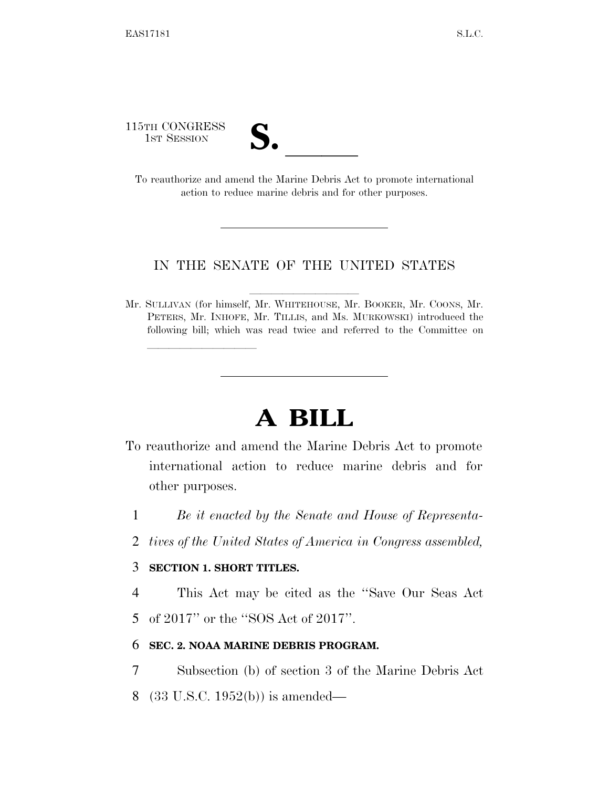115TH CONGRESS

| v. |  |
|----|--|
|    |  |

15TH CONGRESS<br>
1ST SESSION<br>
To reauthorize and amend the Marine Debris Act to promote international action to reduce marine debris and for other purposes.

## IN THE SENATE OF THE UNITED STATES

Mr. SULLIVAN (for himself, Mr. WHITEHOUSE, Mr. BOOKER, Mr. COONS, Mr. PETERS, Mr. INHOFE, Mr. TILLIS, and Ms. MURKOWSKI) introduced the following bill; which was read twice and referred to the Committee on

## **A BILL**

- To reauthorize and amend the Marine Debris Act to promote international action to reduce marine debris and for other purposes.
	- 1 *Be it enacted by the Senate and House of Representa-*
	- 2 *tives of the United States of America in Congress assembled,*

## 3 **SECTION 1. SHORT TITLES.**

lle and a second control of the second control of the second control of the second control of the second control of the second control of the second control of the second control of the second control of the second control

4 This Act may be cited as the ''Save Our Seas Act 5 of 2017'' or the ''SOS Act of 2017''.

## 6 **SEC. 2. NOAA MARINE DEBRIS PROGRAM.**

7 Subsection (b) of section 3 of the Marine Debris Act

8 (33 U.S.C. 1952(b)) is amended—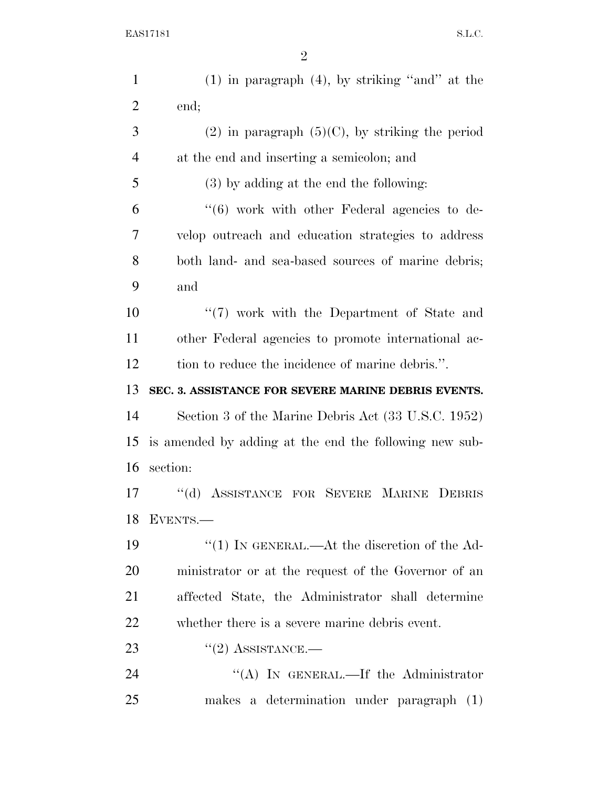| $\mathbf{1}$   | $(1)$ in paragraph $(4)$ , by striking "and" at the    |
|----------------|--------------------------------------------------------|
| $\overline{2}$ | end;                                                   |
| 3              | $(2)$ in paragraph $(5)(C)$ , by striking the period   |
| $\overline{4}$ | at the end and inserting a semicolon; and              |
| 5              | (3) by adding at the end the following:                |
| 6              | $(6)$ work with other Federal agencies to de-          |
| 7              | velop outreach and education strategies to address     |
| 8              | both land- and sea-based sources of marine debris;     |
| 9              | and                                                    |
| 10             | "(7) work with the Department of State and             |
| 11             | other Federal agencies to promote international ac-    |
| 12             | tion to reduce the incidence of marine debris.".       |
| 13             | SEC. 3. ASSISTANCE FOR SEVERE MARINE DEBRIS EVENTS.    |
| 14             | Section 3 of the Marine Debris Act (33 U.S.C. 1952)    |
| 15             | is amended by adding at the end the following new sub- |
| 16             | section:                                               |
| 17             | "(d) ASSISTANCE FOR SEVERE MARINE DEBRIS               |
| 18             | EVENTS.-                                               |
| 19             | "(1) IN GENERAL.—At the discretion of the $Ad-$        |
| 20             | ministrator or at the request of the Governor of an    |
| 21             | affected State, the Administrator shall determine      |
| 22             | whether there is a severe marine debris event.         |
| 23             | $"(2)$ ASSISTANCE.—                                    |
| 24             | "(A) IN GENERAL.—If the Administrator                  |
| 25             | makes a determination under paragraph (1)              |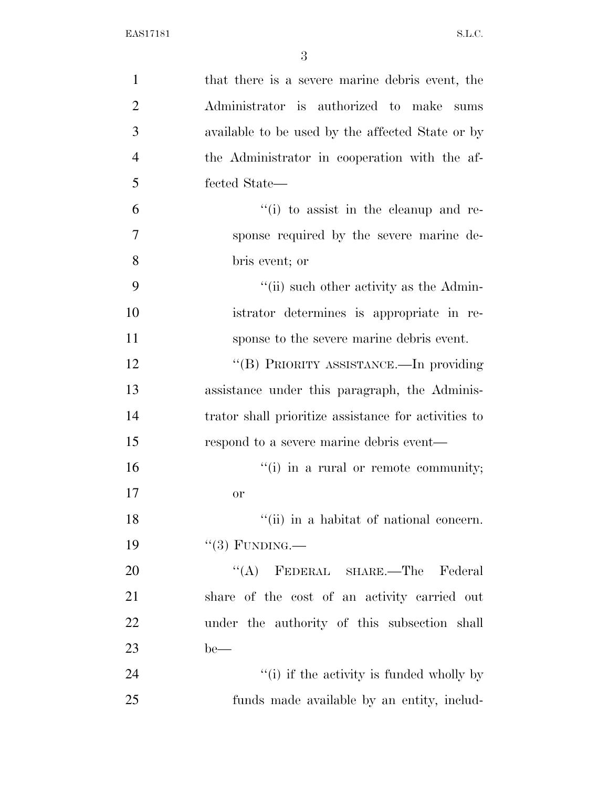| $\mathbf{1}$   | that there is a severe marine debris event, the      |
|----------------|------------------------------------------------------|
| $\overline{2}$ | Administrator is authorized to make sums             |
| 3              | available to be used by the affected State or by     |
| $\overline{4}$ | the Administrator in cooperation with the af-        |
| 5              | fected State—                                        |
| 6              | $f(i)$ to assist in the cleanup and re-              |
| 7              | sponse required by the severe marine de-             |
| 8              | bris event; or                                       |
| 9              | $\lq\lq$ (ii) such other activity as the Admin-      |
| 10             | istrator determines is appropriate in re-            |
| 11             | sponse to the severe marine debris event.            |
| 12             | "(B) PRIORITY ASSISTANCE.—In providing               |
| 13             | assistance under this paragraph, the Adminis-        |
| 14             | trator shall prioritize assistance for activities to |
| 15             | respond to a severe marine debris event—             |
| 16             | $f'(i)$ in a rural or remote community;              |
| 17             | <b>or</b>                                            |
| 18             | "(ii) in a habitat of national concern.              |
| 19             | $``(3)$ FUNDING.—                                    |
| 20             | "(A) FEDERAL SHARE.—The Federal                      |
| 21             | share of the cost of an activity carried out         |
| 22             | under the authority of this subsection shall         |
| 23             | $be$ —                                               |
| 24             | "(i) if the activity is funded wholly by             |
| 25             | funds made available by an entity, includ-           |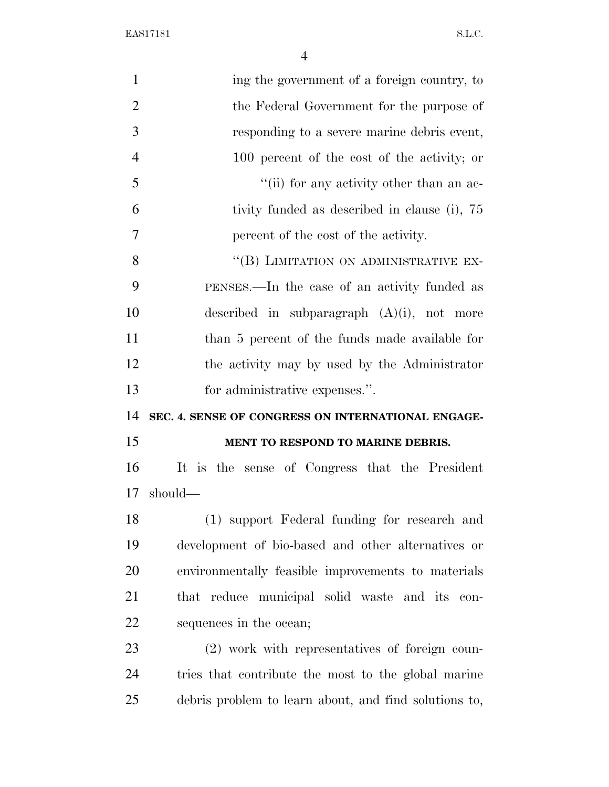EAS17181 S.L.C.

| $\mathbf{1}$   | ing the government of a foreign country, to           |
|----------------|-------------------------------------------------------|
| $\overline{2}$ | the Federal Government for the purpose of             |
| 3              | responding to a severe marine debris event,           |
| $\overline{4}$ | 100 percent of the cost of the activity; or           |
| 5              | "(ii) for any activity other than an ac-              |
| 6              | tivity funded as described in clause (i), 75          |
| 7              | percent of the cost of the activity.                  |
| 8              | "(B) LIMITATION ON ADMINISTRATIVE EX-                 |
| 9              | PENSES.—In the case of an activity funded as          |
| 10             | described in subparagraph $(A)(i)$ , not more         |
| 11             | than 5 percent of the funds made available for        |
| 12             | the activity may by used by the Administrator         |
| 13             | for administrative expenses.".                        |
| 14             | SEC. 4. SENSE OF CONGRESS ON INTERNATIONAL ENGAGE-    |
| 15             | MENT TO RESPOND TO MARINE DEBRIS.                     |
| 16             | It is the sense of Congress that the President        |
| 17             | should—                                               |
| 18             | (1) support Federal funding for research and          |
| 19             | development of bio-based and other alternatives or    |
| 20             | environmentally feasible improvements to materials    |
| 21             | that reduce municipal solid waste and its con-        |
| 22             | sequences in the ocean;                               |
| 23             | (2) work with representatives of foreign coun-        |
| 24             | tries that contribute the most to the global marine   |
| 25             | debris problem to learn about, and find solutions to, |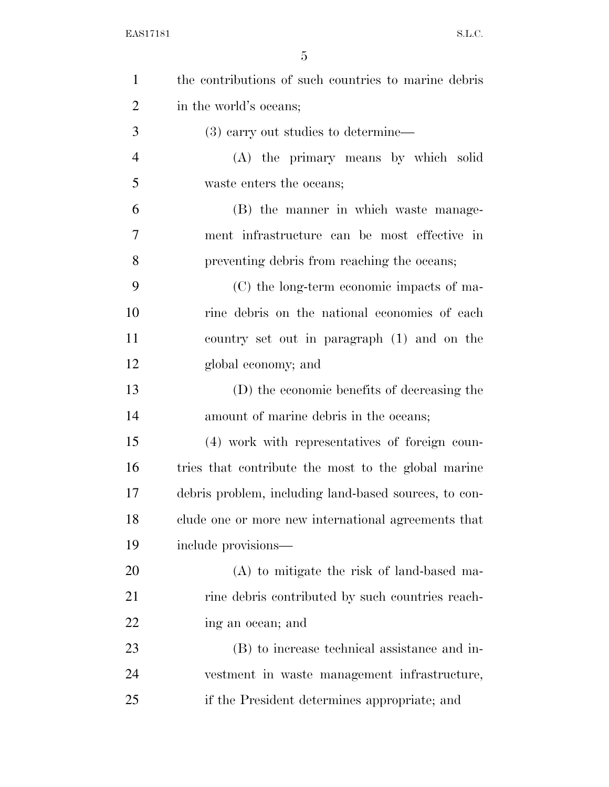| $\mathbf{1}$   | the contributions of such countries to marine debris  |
|----------------|-------------------------------------------------------|
| $\overline{2}$ | in the world's oceans;                                |
| 3              | $(3)$ carry out studies to determine—                 |
| $\overline{4}$ | (A) the primary means by which solid                  |
| 5              | waste enters the oceans;                              |
| 6              | (B) the manner in which waste manage-                 |
| 7              | ment infrastructure can be most effective in          |
| 8              | preventing debris from reaching the oceans;           |
| 9              | (C) the long-term economic impacts of ma-             |
| 10             | rine debris on the national economies of each         |
| 11             | country set out in paragraph (1) and on the           |
| 12             | global economy; and                                   |
| 13             | (D) the economic benefits of decreasing the           |
| 14             | amount of marine debris in the oceans;                |
| 15             | (4) work with representatives of foreign coun-        |
| 16             | tries that contribute the most to the global marine   |
| 17             | debris problem, including land-based sources, to con- |
| 18             | clude one or more new international agreements that   |
| 19             | include provisions-                                   |
| 20             | $(A)$ to mitigate the risk of land-based ma-          |
| 21             | rine debris contributed by such countries reach-      |
| 22             | ing an ocean; and                                     |
| 23             | (B) to increase technical assistance and in-          |
| 24             | vestment in waste management infrastructure,          |
| 25             | if the President determines appropriate; and          |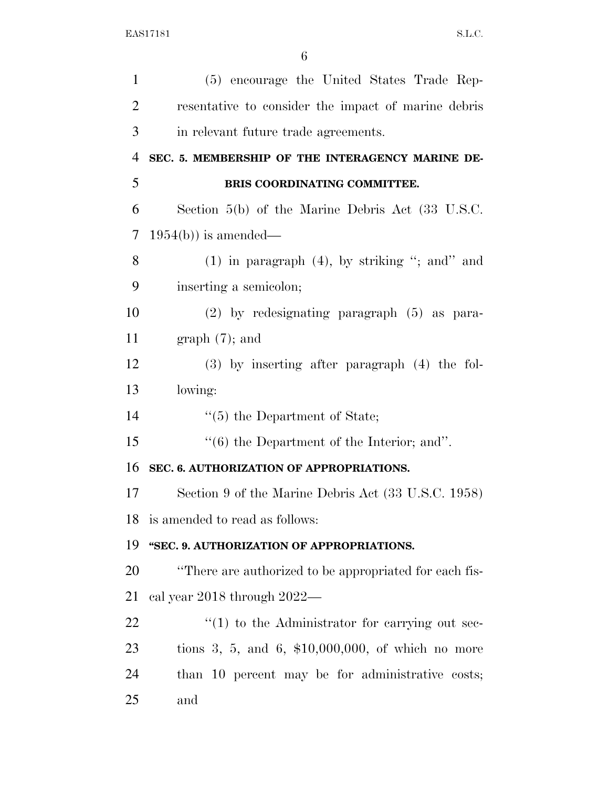| $\mathbf{1}$   | (5) encourage the United States Trade Rep-                    |
|----------------|---------------------------------------------------------------|
| $\overline{2}$ | resentative to consider the impact of marine debris           |
| 3              | in relevant future trade agreements.                          |
| $\overline{4}$ | SEC. 5. MEMBERSHIP OF THE INTERAGENCY MARINE DE-              |
| 5              | BRIS COORDINATING COMMITTEE.                                  |
| 6              | Section $5(b)$ of the Marine Debris Act $(33 \text{ U.S.C.})$ |
| 7              | $1954(b)$ is amended—                                         |
| 8              | $(1)$ in paragraph $(4)$ , by striking "; and" and            |
| 9              | inserting a semicolon;                                        |
| 10             | $(2)$ by redesignating paragraph $(5)$ as para-               |
| 11             | $graph(7)$ ; and                                              |
| 12             | $(3)$ by inserting after paragraph $(4)$ the fol-             |
| 13             | lowing:                                                       |
| 14             | $\lq(5)$ the Department of State;                             |
| 15             | $\lq\lq (6)$ the Department of the Interior; and".            |
| 16             | SEC. 6. AUTHORIZATION OF APPROPRIATIONS.                      |
| 17             | Section 9 of the Marine Debris Act (33 U.S.C. 1958)           |
| 18             | is amended to read as follows:                                |
| 19             | "SEC. 9. AUTHORIZATION OF APPROPRIATIONS.                     |
| 20             | "There are authorized to be appropriated for each fis-        |
| 21             | cal year 2018 through 2022—                                   |
| 22             | $\lq(1)$ to the Administrator for carrying out sec-           |
| 23             | tions 3, 5, and 6, $$10,000,000$ , of which no more           |
| 24             | than 10 percent may be for administrative costs;              |
| 25             | and                                                           |